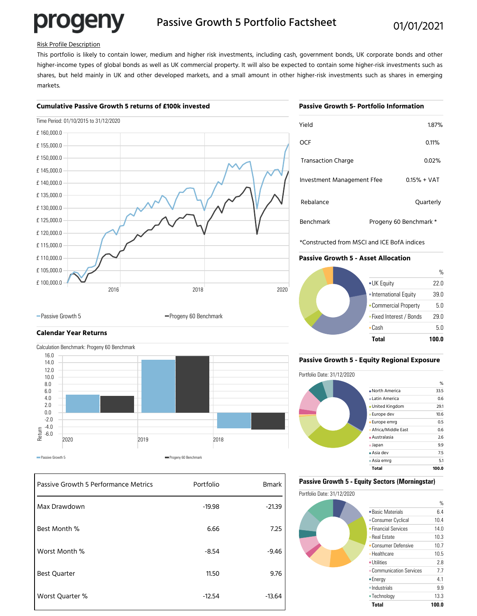# progeny

### Passive Growth 5 Portfolio Factsheet 01/01/2021

### Risk Profile Description

This portfolio is likely to contain lower, medium and higher risk investments, including cash, government bonds, UK corporate bonds and other higher-income types of global bonds as well as UK commercial property. It will also be expected to contain some higher-risk investments such as shares, but held mainly in UK and other developed markets, and a small amount in other higher-risk investments such as shares in emerging markets.

### **Cumulative Passive Growth 5 returns of £100k invested**

### Time Period: 01/10/2015 to 31/12/2020 2016 2018 2020 £ 100,000.0 £ 105,000.0 £ 110,000.0 £ 115,000.0 £ 120,000.0 £ 125,000.0 £ 130,000.0 £ 135,000.0 £ 140,000.0 £ 145,000.0 £ 150,000.0 £ 155,000.0 £ 160,000.0

### **Passive Growth 5- Portfolio Information**

| Yield                      |                        | 1.87% |
|----------------------------|------------------------|-------|
| OCF                        |                        | 0.11% |
| <b>Transaction Charge</b>  |                        | 0.02% |
| Investment Management Ffee | $0.15% + VAT$          |       |
| Rebalance                  | Quarterly              |       |
| Benchmark                  | Progeny 60 Benchmark * |       |

\*Constructed from MSCI and ICE BofA indices

### **Passive Growth 5 - Asset Allocation**



## **Calendar Year Returns**



-Passive Growth 5 Progeny 60 Benchmark

| Passive Growth 5 Performance Metrics | Portfolio | <b>Bmark</b> |
|--------------------------------------|-----------|--------------|
| Max Drawdown                         | $-19.98$  | $-21.39$     |
| Best Month %                         | 6.66      | 7.25         |
| Worst Month %                        | $-8.54$   | $-9.46$      |
| <b>Best Quarter</b>                  | 11.50     | 9.76         |
| Worst Quarter %                      | $-12.54$  | $-13.64$     |

### **Passive Growth 5 - Equity Regional Exposure**



### **Passive Growth 5 - Equity Sectors (Morningstar)**